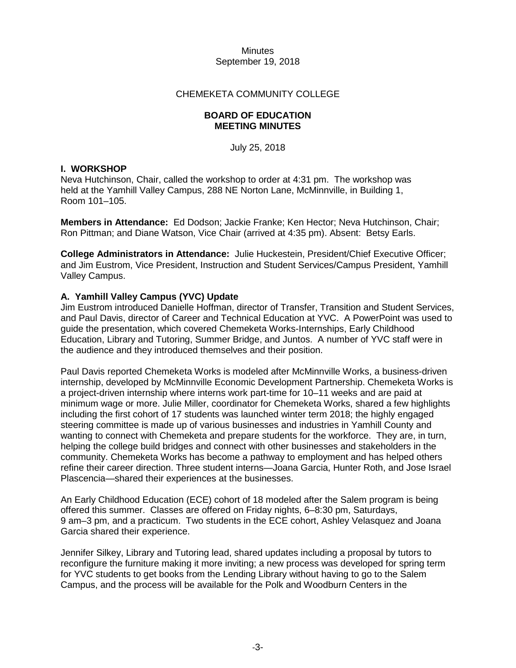### CHEMEKETA COMMUNITY COLLEGE

#### **BOARD OF EDUCATION MEETING MINUTES**

July 25, 2018

# **I. WORKSHOP**

Neva Hutchinson, Chair, called the workshop to order at 4:31 pm. The workshop was held at the Yamhill Valley Campus, 288 NE Norton Lane, McMinnville, in Building 1, Room 101–105.

**Members in Attendance:** Ed Dodson; Jackie Franke; Ken Hector; Neva Hutchinson, Chair; Ron Pittman; and Diane Watson, Vice Chair (arrived at 4:35 pm). Absent: Betsy Earls.

**College Administrators in Attendance:** Julie Huckestein, President/Chief Executive Officer; and Jim Eustrom, Vice President, Instruction and Student Services/Campus President, Yamhill Valley Campus.

# **A. Yamhill Valley Campus (YVC) Update**

Jim Eustrom introduced Danielle Hoffman, director of Transfer, Transition and Student Services, and Paul Davis, director of Career and Technical Education at YVC. A PowerPoint was used to guide the presentation, which covered Chemeketa Works-Internships, Early Childhood Education, Library and Tutoring, Summer Bridge, and Juntos. A number of YVC staff were in the audience and they introduced themselves and their position.

Paul Davis reported Chemeketa Works is modeled after McMinnville Works, a business-driven internship, developed by McMinnville Economic Development Partnership. Chemeketa Works is a project-driven internship where interns work part-time for 10–11 weeks and are paid at minimum wage or more. Julie Miller, coordinator for Chemeketa Works, shared a few highlights including the first cohort of 17 students was launched winter term 2018; the highly engaged steering committee is made up of various businesses and industries in Yamhill County and wanting to connect with Chemeketa and prepare students for the workforce. They are, in turn, helping the college build bridges and connect with other businesses and stakeholders in the community. Chemeketa Works has become a pathway to employment and has helped others refine their career direction. Three student interns—Joana Garcia, Hunter Roth, and Jose Israel Plascencia—shared their experiences at the businesses.

An Early Childhood Education (ECE) cohort of 18 modeled after the Salem program is being offered this summer. Classes are offered on Friday nights, 6–8:30 pm, Saturdays, 9 am–3 pm, and a practicum. Two students in the ECE cohort, Ashley Velasquez and Joana Garcia shared their experience.

Jennifer Silkey, Library and Tutoring lead, shared updates including a proposal by tutors to reconfigure the furniture making it more inviting; a new process was developed for spring term for YVC students to get books from the Lending Library without having to go to the Salem Campus, and the process will be available for the Polk and Woodburn Centers in the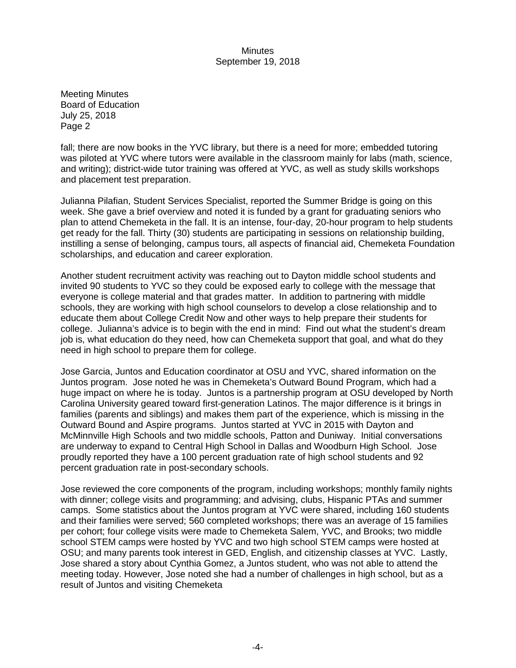Meeting Minutes Board of Education July 25, 2018 Page 2

fall; there are now books in the YVC library, but there is a need for more; embedded tutoring was piloted at YVC where tutors were available in the classroom mainly for labs (math, science, and writing); district-wide tutor training was offered at YVC, as well as study skills workshops and placement test preparation.

Julianna Pilafian, Student Services Specialist, reported the Summer Bridge is going on this week. She gave a brief overview and noted it is funded by a grant for graduating seniors who plan to attend Chemeketa in the fall. It is an intense, four-day, 20-hour program to help students get ready for the fall. Thirty (30) students are participating in sessions on relationship building, instilling a sense of belonging, campus tours, all aspects of financial aid, Chemeketa Foundation scholarships, and education and career exploration.

Another student recruitment activity was reaching out to Dayton middle school students and invited 90 students to YVC so they could be exposed early to college with the message that everyone is college material and that grades matter. In addition to partnering with middle schools, they are working with high school counselors to develop a close relationship and to educate them about College Credit Now and other ways to help prepare their students for college. Julianna's advice is to begin with the end in mind: Find out what the student's dream job is, what education do they need, how can Chemeketa support that goal, and what do they need in high school to prepare them for college.

Jose Garcia, Juntos and Education coordinator at OSU and YVC, shared information on the Juntos program. Jose noted he was in Chemeketa's Outward Bound Program, which had a huge impact on where he is today. Juntos is a partnership program at OSU developed by North Carolina University geared toward first-generation Latinos. The major difference is it brings in families (parents and siblings) and makes them part of the experience, which is missing in the Outward Bound and Aspire programs. Juntos started at YVC in 2015 with Dayton and McMinnville High Schools and two middle schools, Patton and Duniway. Initial conversations are underway to expand to Central High School in Dallas and Woodburn High School. Jose proudly reported they have a 100 percent graduation rate of high school students and 92 percent graduation rate in post-secondary schools.

Jose reviewed the core components of the program, including workshops; monthly family nights with dinner; college visits and programming; and advising, clubs, Hispanic PTAs and summer camps. Some statistics about the Juntos program at YVC were shared, including 160 students and their families were served; 560 completed workshops; there was an average of 15 families per cohort; four college visits were made to Chemeketa Salem, YVC, and Brooks; two middle school STEM camps were hosted by YVC and two high school STEM camps were hosted at OSU; and many parents took interest in GED, English, and citizenship classes at YVC. Lastly, Jose shared a story about Cynthia Gomez, a Juntos student, who was not able to attend the meeting today. However, Jose noted she had a number of challenges in high school, but as a result of Juntos and visiting Chemeketa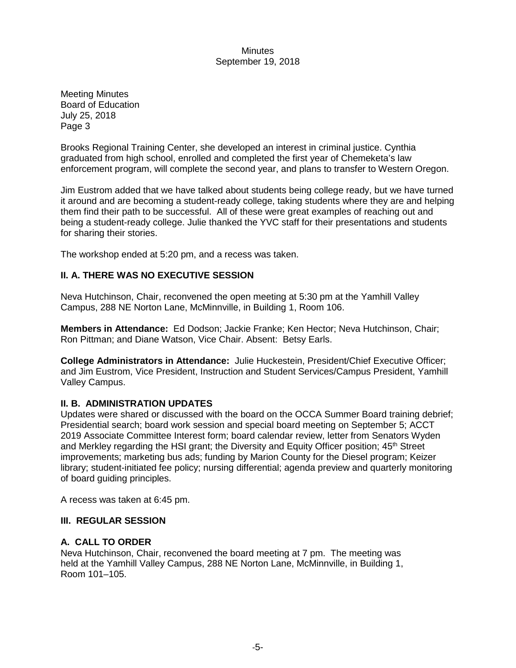Meeting Minutes Board of Education July 25, 2018 Page 3

Brooks Regional Training Center, she developed an interest in criminal justice. Cynthia graduated from high school, enrolled and completed the first year of Chemeketa's law enforcement program, will complete the second year, and plans to transfer to Western Oregon.

Jim Eustrom added that we have talked about students being college ready, but we have turned it around and are becoming a student-ready college, taking students where they are and helping them find their path to be successful. All of these were great examples of reaching out and being a student-ready college. Julie thanked the YVC staff for their presentations and students for sharing their stories.

The workshop ended at 5:20 pm, and a recess was taken.

## **II. A. THERE WAS NO EXECUTIVE SESSION**

Neva Hutchinson, Chair, reconvened the open meeting at 5:30 pm at the Yamhill Valley Campus, 288 NE Norton Lane, McMinnville, in Building 1, Room 106.

**Members in Attendance:** Ed Dodson; Jackie Franke; Ken Hector; Neva Hutchinson, Chair; Ron Pittman; and Diane Watson, Vice Chair. Absent: Betsy Earls.

**College Administrators in Attendance:** Julie Huckestein, President/Chief Executive Officer; and Jim Eustrom, Vice President, Instruction and Student Services/Campus President, Yamhill Valley Campus.

### **II. B. ADMINISTRATION UPDATES**

Updates were shared or discussed with the board on the OCCA Summer Board training debrief; Presidential search; board work session and special board meeting on September 5; ACCT 2019 Associate Committee Interest form; board calendar review, letter from Senators Wyden and Merkley regarding the HSI grant; the Diversity and Equity Officer position; 45<sup>th</sup> Street improvements; marketing bus ads; funding by Marion County for the Diesel program; Keizer library; student-initiated fee policy; nursing differential; agenda preview and quarterly monitoring of board guiding principles.

A recess was taken at 6:45 pm.

### **III. REGULAR SESSION**

## **A. CALL TO ORDER**

Neva Hutchinson, Chair, reconvened the board meeting at 7 pm. The meeting was held at the Yamhill Valley Campus, 288 NE Norton Lane, McMinnville, in Building 1, Room 101–105.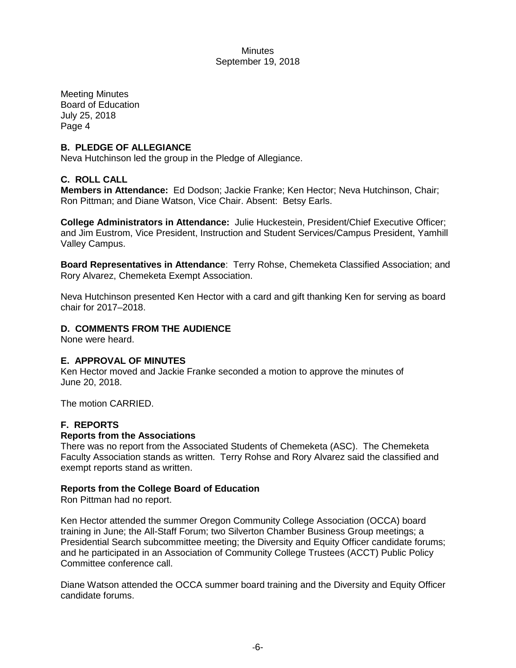Meeting Minutes Board of Education July 25, 2018 Page 4

### **B. PLEDGE OF ALLEGIANCE**

Neva Hutchinson led the group in the Pledge of Allegiance.

## **C. ROLL CALL**

**Members in Attendance:** Ed Dodson; Jackie Franke; Ken Hector; Neva Hutchinson, Chair; Ron Pittman; and Diane Watson, Vice Chair. Absent: Betsy Earls.

**College Administrators in Attendance:** Julie Huckestein, President/Chief Executive Officer; and Jim Eustrom, Vice President, Instruction and Student Services/Campus President, Yamhill Valley Campus.

**Board Representatives in Attendance**: Terry Rohse, Chemeketa Classified Association; and Rory Alvarez, Chemeketa Exempt Association.

Neva Hutchinson presented Ken Hector with a card and gift thanking Ken for serving as board chair for 2017–2018.

## **D. COMMENTS FROM THE AUDIENCE**

None were heard.

### **E. APPROVAL OF MINUTES**

Ken Hector moved and Jackie Franke seconded a motion to approve the minutes of June 20, 2018.

The motion CARRIED.

### **F. REPORTS**

### **Reports from the Associations**

There was no report from the Associated Students of Chemeketa (ASC). The Chemeketa Faculty Association stands as written. Terry Rohse and Rory Alvarez said the classified and exempt reports stand as written.

### **Reports from the College Board of Education**

Ron Pittman had no report.

Ken Hector attended the summer Oregon Community College Association (OCCA) board training in June; the All-Staff Forum; two Silverton Chamber Business Group meetings; a Presidential Search subcommittee meeting; the Diversity and Equity Officer candidate forums; and he participated in an Association of Community College Trustees (ACCT) Public Policy Committee conference call.

Diane Watson attended the OCCA summer board training and the Diversity and Equity Officer candidate forums.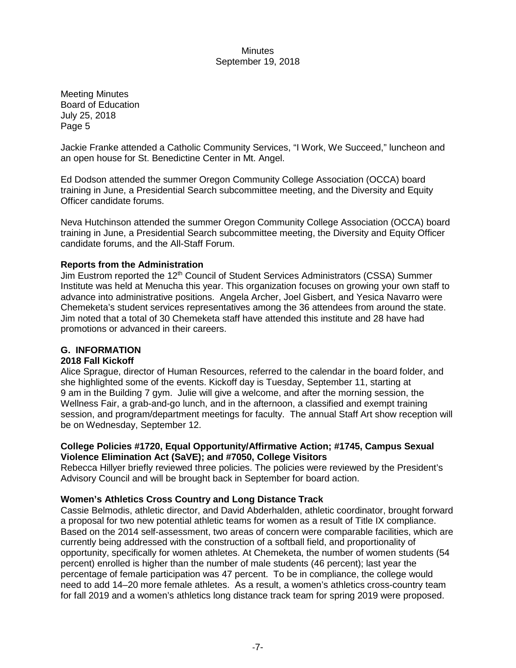Meeting Minutes Board of Education July 25, 2018 Page 5

Jackie Franke attended a Catholic Community Services, "I Work, We Succeed," luncheon and an open house for St. Benedictine Center in Mt. Angel.

Ed Dodson attended the summer Oregon Community College Association (OCCA) board training in June, a Presidential Search subcommittee meeting, and the Diversity and Equity Officer candidate forums.

Neva Hutchinson attended the summer Oregon Community College Association (OCCA) board training in June, a Presidential Search subcommittee meeting, the Diversity and Equity Officer candidate forums, and the All-Staff Forum.

## **Reports from the Administration**

Jim Eustrom reported the 12<sup>th</sup> Council of Student Services Administrators (CSSA) Summer Institute was held at Menucha this year. This organization focuses on growing your own staff to advance into administrative positions. Angela Archer, Joel Gisbert, and Yesica Navarro were Chemeketa's student services representatives among the 36 attendees from around the state. Jim noted that a total of 30 Chemeketa staff have attended this institute and 28 have had promotions or advanced in their careers.

# **G. INFORMATION**

### **2018 Fall Kickoff**

Alice Sprague, director of Human Resources, referred to the calendar in the board folder, and she highlighted some of the events. Kickoff day is Tuesday, September 11, starting at 9 am in the Building 7 gym. Julie will give a welcome, and after the morning session, the Wellness Fair, a grab-and-go lunch, and in the afternoon, a classified and exempt training session, and program/department meetings for faculty. The annual Staff Art show reception will be on Wednesday, September 12.

# **College Policies #1720, Equal Opportunity/Affirmative Action; #1745, Campus Sexual Violence Elimination Act (SaVE); and #7050, College Visitors**

Rebecca Hillyer briefly reviewed three policies. The policies were reviewed by the President's Advisory Council and will be brought back in September for board action.

### **Women's Athletics Cross Country and Long Distance Track**

Cassie Belmodis, athletic director, and David Abderhalden, athletic coordinator, brought forward a proposal for two new potential athletic teams for women as a result of Title IX compliance. Based on the 2014 self-assessment, two areas of concern were comparable facilities, which are currently being addressed with the construction of a softball field, and proportionality of opportunity, specifically for women athletes. At Chemeketa, the number of women students (54 percent) enrolled is higher than the number of male students (46 percent); last year the percentage of female participation was 47 percent. To be in compliance, the college would need to add 14–20 more female athletes. As a result, a women's athletics cross-country team for fall 2019 and a women's athletics long distance track team for spring 2019 were proposed.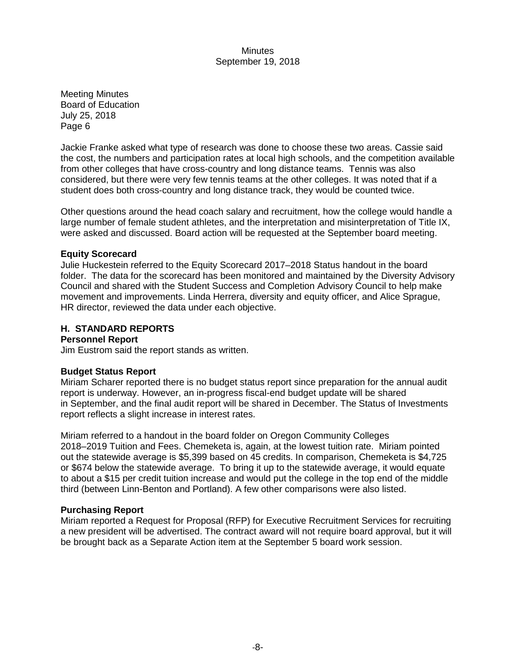Meeting Minutes Board of Education July 25, 2018 Page 6

Jackie Franke asked what type of research was done to choose these two areas. Cassie said the cost, the numbers and participation rates at local high schools, and the competition available from other colleges that have cross-country and long distance teams. Tennis was also considered, but there were very few tennis teams at the other colleges. It was noted that if a student does both cross-country and long distance track, they would be counted twice.

Other questions around the head coach salary and recruitment, how the college would handle a large number of female student athletes, and the interpretation and misinterpretation of Title IX, were asked and discussed. Board action will be requested at the September board meeting.

### **Equity Scorecard**

Julie Huckestein referred to the Equity Scorecard 2017–2018 Status handout in the board folder. The data for the scorecard has been monitored and maintained by the Diversity Advisory Council and shared with the Student Success and Completion Advisory Council to help make movement and improvements. Linda Herrera, diversity and equity officer, and Alice Sprague, HR director, reviewed the data under each objective.

### **H. STANDARD REPORTS**

#### **Personnel Report**

Jim Eustrom said the report stands as written.

### **Budget Status Report**

Miriam Scharer reported there is no budget status report since preparation for the annual audit report is underway. However, an in-progress fiscal-end budget update will be shared in September, and the final audit report will be shared in December. The Status of Investments report reflects a slight increase in interest rates.

Miriam referred to a handout in the board folder on Oregon Community Colleges 2018–2019 Tuition and Fees. Chemeketa is, again, at the lowest tuition rate. Miriam pointed out the statewide average is \$5,399 based on 45 credits. In comparison, Chemeketa is \$4,725 or \$674 below the statewide average. To bring it up to the statewide average, it would equate to about a \$15 per credit tuition increase and would put the college in the top end of the middle third (between Linn-Benton and Portland). A few other comparisons were also listed.

### **Purchasing Report**

Miriam reported a Request for Proposal (RFP) for Executive Recruitment Services for recruiting a new president will be advertised. The contract award will not require board approval, but it will be brought back as a Separate Action item at the September 5 board work session.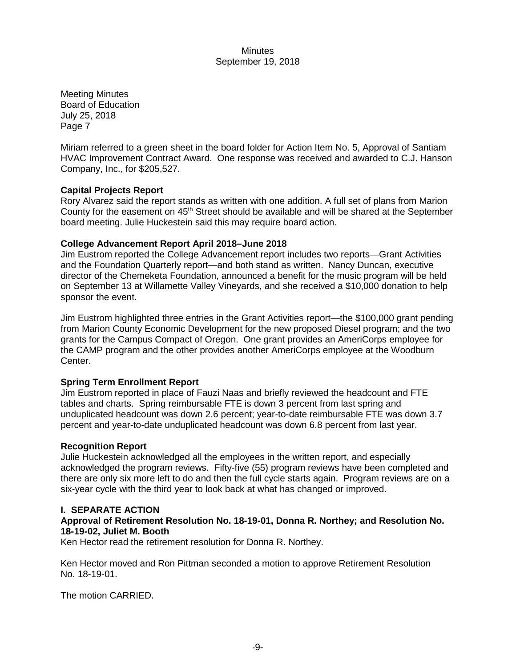Meeting Minutes Board of Education July 25, 2018 Page 7

Miriam referred to a green sheet in the board folder for Action Item No. 5, Approval of Santiam HVAC Improvement Contract Award. One response was received and awarded to C.J. Hanson Company, Inc., for \$205,527.

## **Capital Projects Report**

Rory Alvarez said the report stands as written with one addition. A full set of plans from Marion County for the easement on  $45<sup>th</sup>$  Street should be available and will be shared at the September board meeting. Julie Huckestein said this may require board action.

### **College Advancement Report April 2018–June 2018**

Jim Eustrom reported the College Advancement report includes two reports—Grant Activities and the Foundation Quarterly report—and both stand as written. Nancy Duncan, executive director of the Chemeketa Foundation, announced a benefit for the music program will be held on September 13 at Willamette Valley Vineyards, and she received a \$10,000 donation to help sponsor the event.

Jim Eustrom highlighted three entries in the Grant Activities report—the \$100,000 grant pending from Marion County Economic Development for the new proposed Diesel program; and the two grants for the Campus Compact of Oregon. One grant provides an AmeriCorps employee for the CAMP program and the other provides another AmeriCorps employee at the Woodburn Center.

# **Spring Term Enrollment Report**

Jim Eustrom reported in place of Fauzi Naas and briefly reviewed the headcount and FTE tables and charts. Spring reimbursable FTE is down 3 percent from last spring and unduplicated headcount was down 2.6 percent; year-to-date reimbursable FTE was down 3.7 percent and year-to-date unduplicated headcount was down 6.8 percent from last year.

### **Recognition Report**

Julie Huckestein acknowledged all the employees in the written report, and especially acknowledged the program reviews. Fifty-five (55) program reviews have been completed and there are only six more left to do and then the full cycle starts again. Program reviews are on a six-year cycle with the third year to look back at what has changed or improved.

### **I. SEPARATE ACTION**

## **Approval of Retirement Resolution No. 18-19-01, Donna R. Northey; and Resolution No. 18-19-02, Juliet M. Booth**

Ken Hector read the retirement resolution for Donna R. Northey.

Ken Hector moved and Ron Pittman seconded a motion to approve Retirement Resolution No. 18-19-01.

The motion CARRIED.